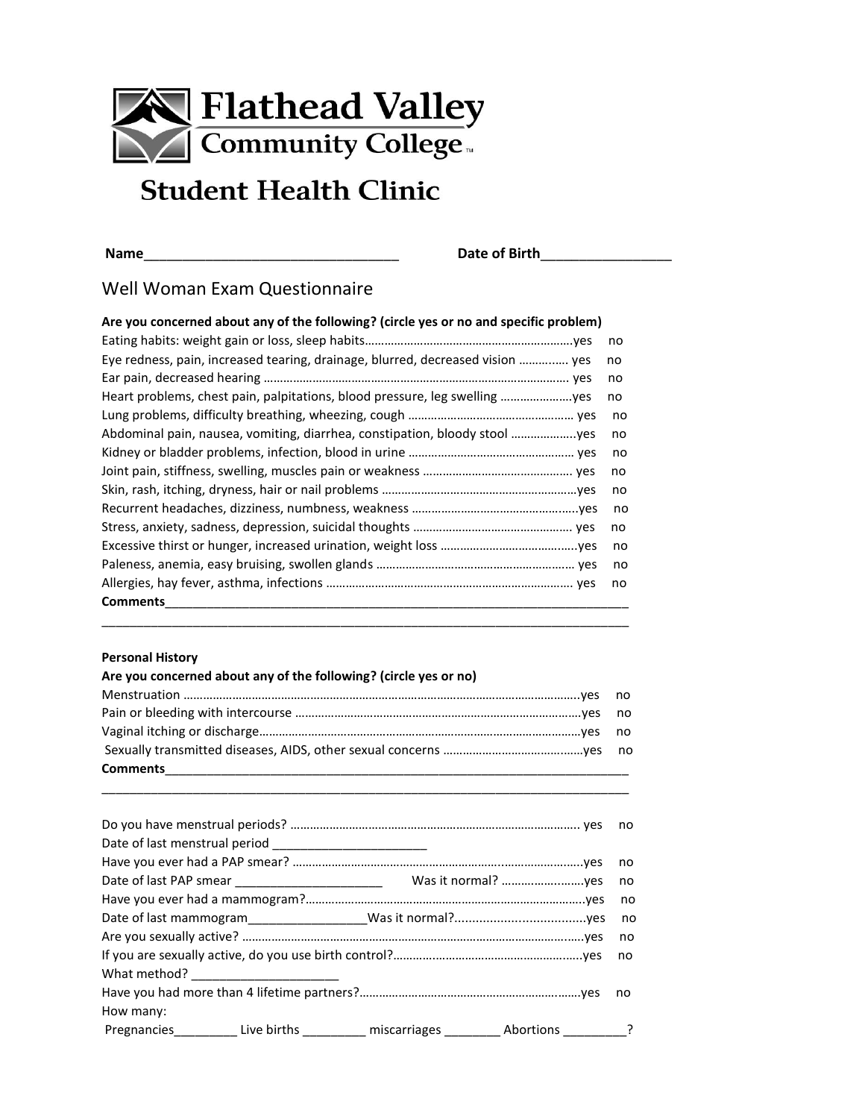

# **Student Health Clinic**

**Name**\_\_\_\_\_\_\_\_\_\_\_\_\_\_\_\_\_\_\_\_\_\_\_\_\_\_\_\_\_\_\_\_\_ **Date of Birth**\_\_\_\_\_\_\_\_\_\_\_\_\_\_\_\_\_

# Well Woman Exam Questionnaire

## **Are you concerned about any of the following? (circle yes or no and specific problem)**

|                                                                                | no |
|--------------------------------------------------------------------------------|----|
| Eye redness, pain, increased tearing, drainage, blurred, decreased vision  yes | no |
|                                                                                | no |
| Heart problems, chest pain, palpitations, blood pressure, leg swelling         | no |
|                                                                                | no |
| Abdominal pain, nausea, vomiting, diarrhea, constipation, bloody stool         | no |
|                                                                                | no |
|                                                                                | no |
|                                                                                | no |
|                                                                                | no |
|                                                                                | no |
|                                                                                | no |
|                                                                                | no |
|                                                                                | no |
| <b>Comments</b>                                                                |    |
|                                                                                |    |

### **Personal History**

| Are you concerned about any of the following? (circle yes or no)                                                |  |
|-----------------------------------------------------------------------------------------------------------------|--|
|                                                                                                                 |  |
|                                                                                                                 |  |
|                                                                                                                 |  |
|                                                                                                                 |  |
| Comments 2008 2009 2010 2021 2022 2023 2024 2022 2023 2024 2022 2023 2024 2022 2023 2024 2022 2023 2024 2022 20 |  |

\_\_\_\_\_\_\_\_\_\_\_\_\_\_\_\_\_\_\_\_\_\_\_\_\_\_\_\_\_\_\_\_\_\_\_\_\_\_\_\_\_\_\_\_\_\_\_\_\_\_\_\_\_\_\_\_\_\_\_\_\_\_\_\_\_\_\_\_\_\_\_\_\_\_\_

| Date of last menstrual period _________________________                                    |  |    |
|--------------------------------------------------------------------------------------------|--|----|
|                                                                                            |  | no |
|                                                                                            |  |    |
|                                                                                            |  |    |
|                                                                                            |  |    |
|                                                                                            |  | no |
|                                                                                            |  |    |
|                                                                                            |  |    |
|                                                                                            |  |    |
| How many:                                                                                  |  |    |
| Pregnancies___________Live births __________ miscarriages __________ Abortions __________? |  |    |